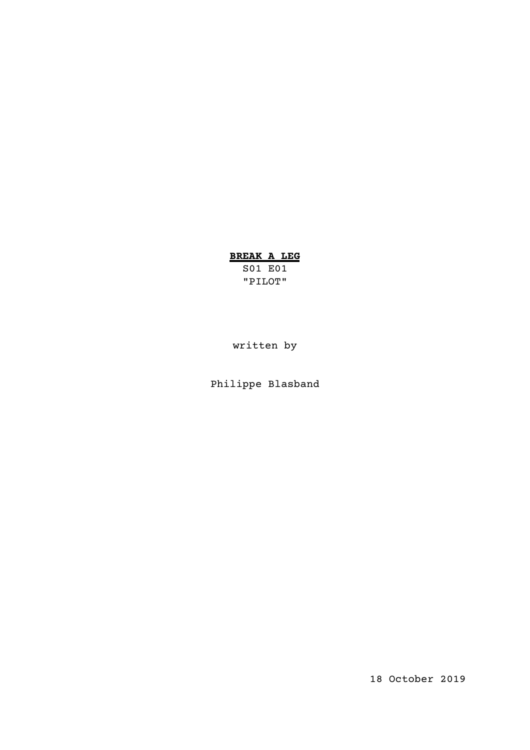# **BREAK A LEG**

S01 E01 "PILOT"

written by

Philippe Blasband

18 October 2019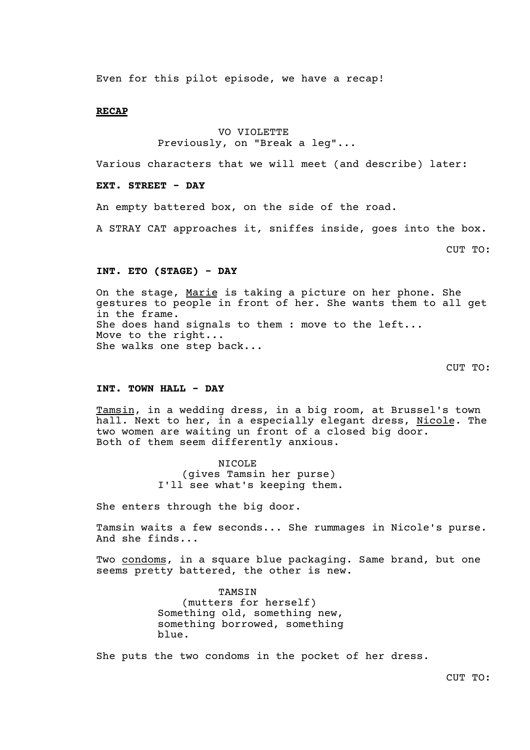Even for this pilot episode, we have a recap!

### **RECAP**

# VO VIOLETTE Previously, on "Break a leg"...

Various characters that we will meet (and describe) later:

# **EXT. STREET - DAY**

An empty battered box, on the side of the road.

A STRAY CAT approaches it, sniffes inside, goes into the box.

CUT TO:

# **INT. ETO (STAGE) - DAY**

On the stage, Marie is taking a picture on her phone. She gestures to people in front of her. She wants them to all get in the frame. She does hand signals to them : move to the left... Move to the right... She walks one step back...

CUT TO:

# **INT. TOWN HALL - DAY**

Tamsin, in a wedding dress, in a big room, at Brussel's town hall. Next to her, in a especially elegant dress, Nicole. The two women are waiting un front of a closed big door. Both of them seem differently anxious.

> NICOLE (gives Tamsin her purse) I'll see what's keeping them.

She enters through the big door.

Tamsin waits a few seconds... She rummages in Nicole's purse. And she finds...

Two condoms, in a square blue packaging. Same brand, but one seems pretty battered, the other is new.

> TAMSIN (mutters for herself) Something old, something new, something borrowed, something blue.

She puts the two condoms in the pocket of her dress.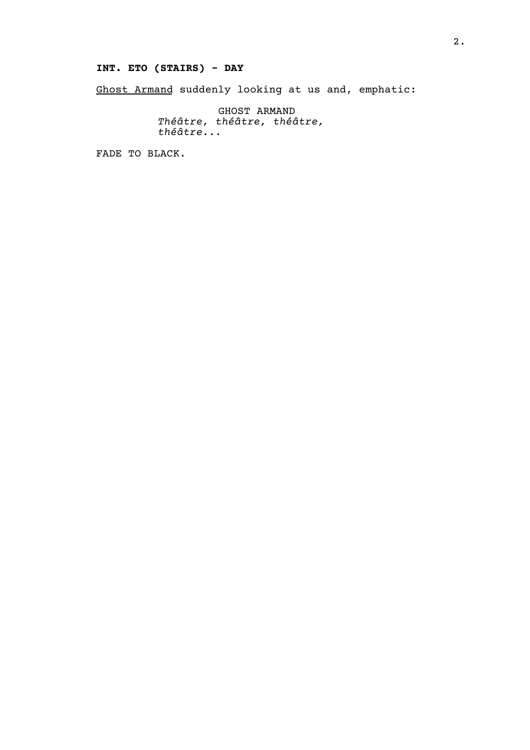# **INT. ETO (STAIRS) - DAY**

Ghost Armand suddenly looking at us and, emphatic:

GHOST ARMAND *Théâtre, théâtre, théâtre, théâtre...*

FADE TO BLACK.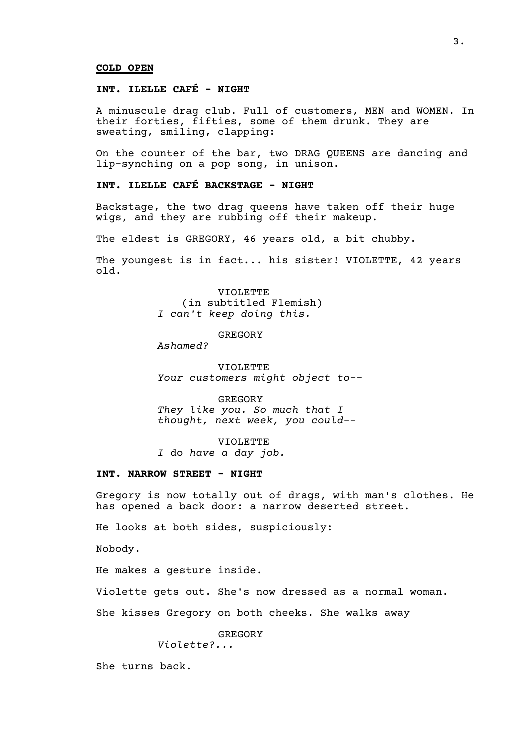#### **COLD OPEN**

# **INT. ILELLE CAFÉ - NIGHT**

A minuscule drag club. Full of customers, MEN and WOMEN. In their forties, fifties, some of them drunk. They are sweating, smiling, clapping:

On the counter of the bar, two DRAG QUEENS are dancing and lip-synching on a pop song, in unison.

# **INT. ILELLE CAFÉ BACKSTAGE - NIGHT**

Backstage, the two drag queens have taken off their huge wigs, and they are rubbing off their makeup.

The eldest is GREGORY, 46 years old, a bit chubby.

The youngest is in fact... his sister! VIOLETTE, 42 years old.

> VIOLETTE (in subtitled Flemish) *I can't keep doing this.*

> > GREGORY

*Ashamed?*

VIOLETTE *Your customers might object to--*

GREGORY *They like you. So much that I thought, next week, you could--*

VIOLETTE *I* do *have a day job.*

### **INT. NARROW STREET - NIGHT**

Gregory is now totally out of drags, with man's clothes. He has opened a back door: a narrow deserted street.

He looks at both sides, suspiciously:

Nobody.

He makes a gesture inside.

Violette gets out. She's now dressed as a normal woman.

She kisses Gregory on both cheeks. She walks away

GREGORY

*Violette?...*

She turns back.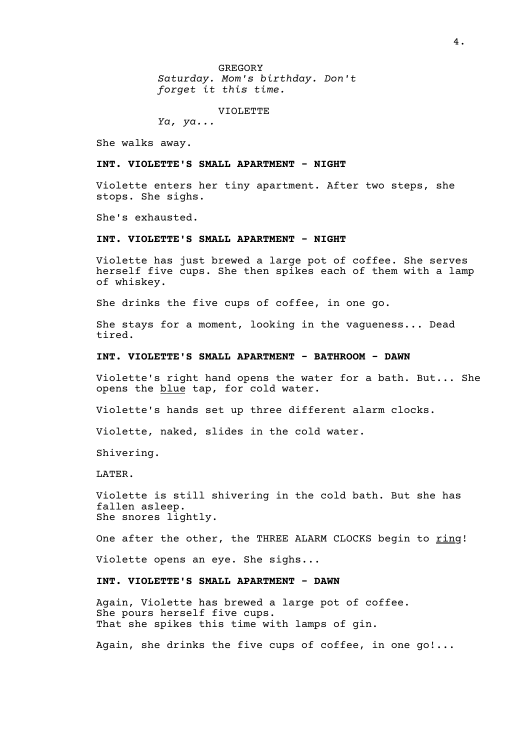GREGORY *Saturday. Mom's birthday. Don't forget it this time.*

VIOLETTE

*Ya, ya...*

She walks away.

#### **INT. VIOLETTE'S SMALL APARTMENT - NIGHT**

Violette enters her tiny apartment. After two steps, she stops. She sighs.

She's exhausted.

# **INT. VIOLETTE'S SMALL APARTMENT - NIGHT**

Violette has just brewed a large pot of coffee. She serves herself five cups. She then spikes each of them with a lamp of whiskey.

She drinks the five cups of coffee, in one go.

She stays for a moment, looking in the vagueness... Dead tired.

### **INT. VIOLETTE'S SMALL APARTMENT - BATHROOM - DAWN**

Violette's right hand opens the water for a bath. But... She opens the blue tap, for cold water.

Violette's hands set up three different alarm clocks.

Violette, naked, slides in the cold water.

Shivering.

LATER.

Violette is still shivering in the cold bath. But she has fallen asleep. She snores lightly.

One after the other, the THREE ALARM CLOCKS begin to ring!

Violette opens an eye. She sighs...

# **INT. VIOLETTE'S SMALL APARTMENT - DAWN**

Again, Violette has brewed a large pot of coffee. She pours herself five cups. That she spikes this time with lamps of gin.

Again, she drinks the five cups of coffee, in one go!...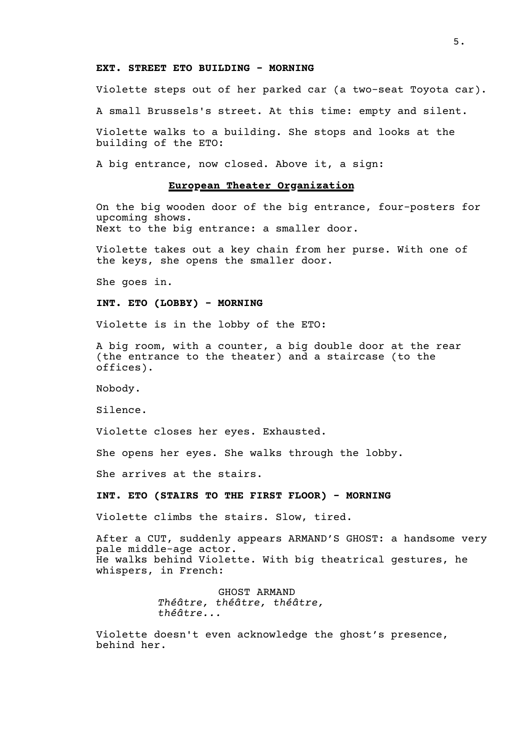### **EXT. STREET ETO BUILDING - MORNING**

Violette steps out of her parked car (a two-seat Toyota car).

A small Brussels's street. At this time: empty and silent.

Violette walks to a building. She stops and looks at the building of the ETO:

A big entrance, now closed. Above it, a sign:

#### **European Theater Organization**

On the big wooden door of the big entrance, four-posters for upcoming shows. Next to the big entrance: a smaller door.

Violette takes out a key chain from her purse. With one of the keys, she opens the smaller door.

She goes in.

#### **INT. ETO (LOBBY) - MORNING**

Violette is in the lobby of the ETO:

A big room, with a counter, a big double door at the rear (the entrance to the theater) and a staircase (to the offices).

Nobody.

Silence.

Violette closes her eyes. Exhausted.

She opens her eyes. She walks through the lobby.

She arrives at the stairs.

### **INT. ETO (STAIRS TO THE FIRST FLOOR) - MORNING**

Violette climbs the stairs. Slow, tired.

After a CUT, suddenly appears ARMAND'S GHOST: a handsome very pale middle-age actor. He walks behind Violette. With big theatrical gestures, he whispers, in French:

> GHOST ARMAND *Théâtre, théâtre, théâtre, théâtre...*

Violette doesn't even acknowledge the ghost's presence, behind her.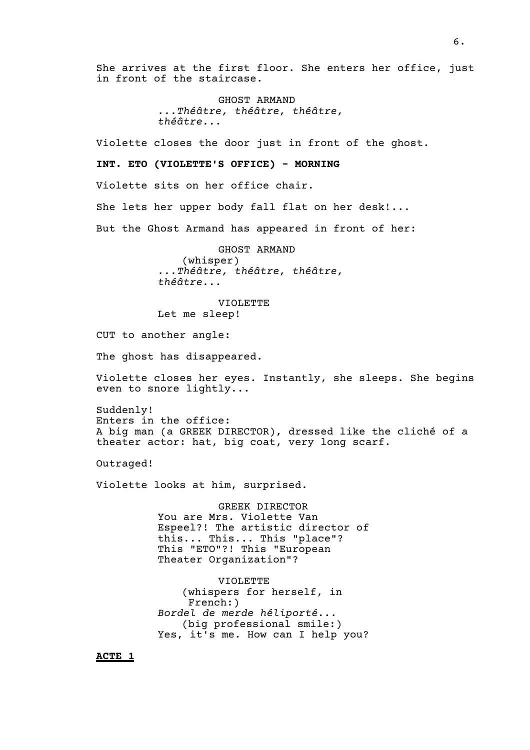She arrives at the first floor. She enters her office, just in front of the staircase.

> GHOST ARMAND *...Théâtre, théâtre, théâtre, théâtre...*

Violette closes the door just in front of the ghost.

**INT. ETO (VIOLETTE'S OFFICE) - MORNING**

Violette sits on her office chair.

She lets her upper body fall flat on her desk!...

But the Ghost Armand has appeared in front of her:

GHOST ARMAND (whisper) *...Théâtre, théâtre, théâtre, théâtre...*

VIOLETTE Let me sleep!

CUT to another angle:

The ghost has disappeared.

Violette closes her eyes. Instantly, she sleeps. She begins even to snore lightly...

Suddenly! Enters in the office: A big man (a GREEK DIRECTOR), dressed like the cliché of a theater actor: hat, big coat, very long scarf.

Outraged!

Violette looks at him, surprised.

GREEK DIRECTOR You are Mrs. Violette Van Espeel?! The artistic director of this... This... This "place"? This "ETO"?! This "European Theater Organization"?

VIOLETTE (whispers for herself, in French:) *Bordel de merde héliporté...* (big professional smile:) Yes, it's me. How can I help you?

**ACTE 1**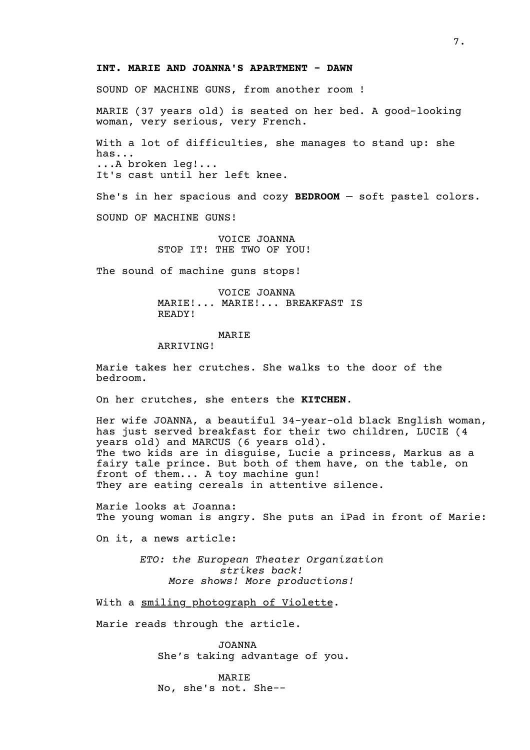### **INT. MARIE AND JOANNA'S APARTMENT - DAWN**

SOUND OF MACHINE GUNS, from another room !

MARIE (37 years old) is seated on her bed. A good-looking woman, very serious, very French.

With a lot of difficulties, she manages to stand up: she has... ...A broken leg!... It's cast until her left knee.

She's in her spacious and cozy **BEDROOM** — soft pastel colors.

SOUND OF MACHINE GUNS!

VOICE JOANNA STOP IT! THE TWO OF YOU!

The sound of machine guns stops!

VOICE JOANNA MARIE!... MARIE!... BREAKFAST IS READY!

### MARIE

#### ARRIVING!

Marie takes her crutches. She walks to the door of the bedroom.

On her crutches, she enters the **KITCHEN**.

Her wife JOANNA, a beautiful 34-year-old black English woman, has just served breakfast for their two children, LUCIE (4 years old) and MARCUS (6 years old). The two kids are in disguise, Lucie a princess, Markus as a fairy tale prince. But both of them have, on the table, on front of them... A toy machine gun! They are eating cereals in attentive silence.

Marie looks at Joanna: The young woman is angry. She puts an iPad in front of Marie:

On it, a news article:

*ETO: the European Theater Organization strikes back! More shows! More productions!*

With a smiling photograph of Violette.

Marie reads through the article.

JOANNA She's taking advantage of you.

MARIE No, she's not. She--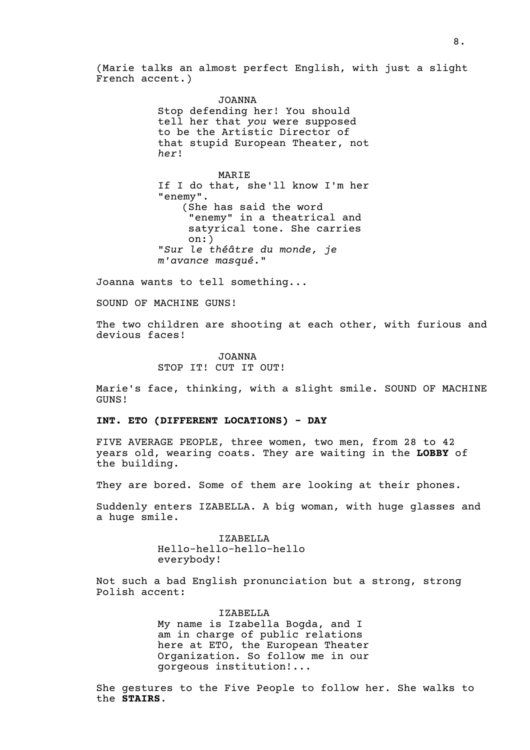(Marie talks an almost perfect English, with just a slight French accent.)

> JOANNA Stop defending her! You should tell her that *you* were supposed to be the Artistic Director of that stupid European Theater, not *her*!

> MARIE If I do that, she'll know I'm her "enemy". (She has said the word "enemy" in a theatrical and satyrical tone. She carries on:) "*Sur le théâtre du monde, je m'avance masqué.*"

Joanna wants to tell something...

SOUND OF MACHINE GUNS!

The two children are shooting at each other, with furious and devious faces!

> JOANNA STOP IT! CUT IT OUT!

Marie's face, thinking, with a slight smile. SOUND OF MACHINE GUNS!

**INT. ETO (DIFFERENT LOCATIONS) - DAY**

FIVE AVERAGE PEOPLE, three women, two men, from 28 to 42 years old, wearing coats. They are waiting in the **LOBBY** of the building.

They are bored. Some of them are looking at their phones.

Suddenly enters IZABELLA. A big woman, with huge glasses and a huge smile.

> IZABELLA Hello-hello-hello-hello everybody!

Not such a bad English pronunciation but a strong, strong Polish accent:

> IZABELLA My name is Izabella Bogda, and I am in charge of public relations here at ETO, the European Theater Organization. So follow me in our gorgeous institution!...

She gestures to the Five People to follow her. She walks to the **STAIRS**.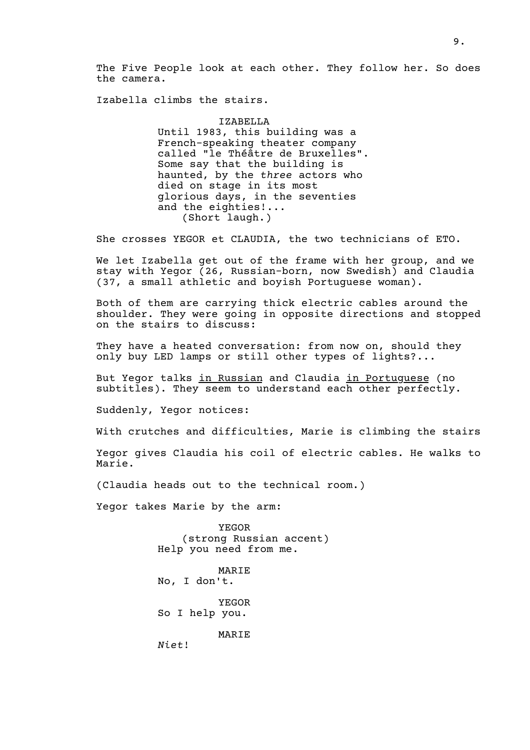The Five People look at each other. They follow her. So does the camera.

Izabella climbs the stairs.

IZABELLA Until 1983, this building was a French-speaking theater company called "le Théâtre de Bruxelles". Some say that the building is haunted, by the *three* actors who died on stage in its most glorious days, in the seventies and the eighties!... (Short laugh.)

She crosses YEGOR et CLAUDIA, the two technicians of ETO.

We let Izabella get out of the frame with her group, and we stay with Yegor (26, Russian-born, now Swedish) and Claudia (37, a small athletic and boyish Portuguese woman).

Both of them are carrying thick electric cables around the shoulder. They were going in opposite directions and stopped on the stairs to discuss:

They have a heated conversation: from now on, should they only buy LED lamps or still other types of lights?...

But Yegor talks in Russian and Claudia in Portuguese (no subtitles). They seem to understand each other perfectly.

Suddenly, Yegor notices:

With crutches and difficulties, Marie is climbing the stairs

Yegor gives Claudia his coil of electric cables. He walks to Marie.

(Claudia heads out to the technical room.)

Yegor takes Marie by the arm:

YEGOR (strong Russian accent) Help you need from me.

MARIE No, I don't.

YEGOR So I help you.

MARIE

*Niet*!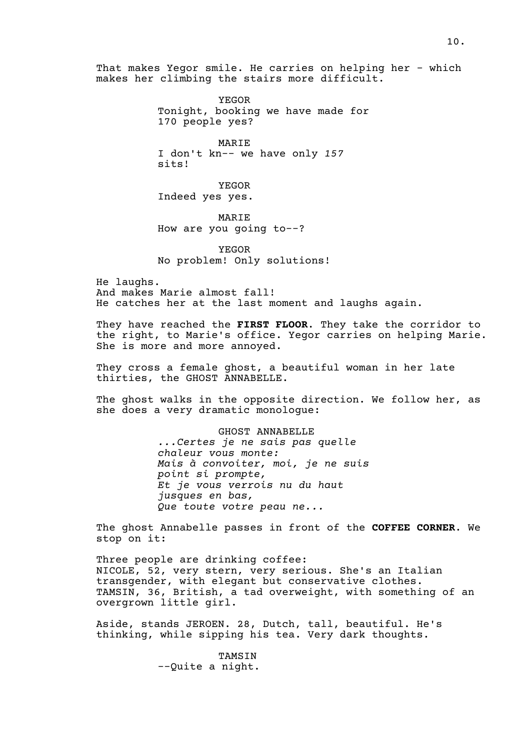That makes Yegor smile. He carries on helping her - which makes her climbing the stairs more difficult.

> YEGOR Tonight, booking we have made for 170 people yes?

MARIE I don't kn-- we have only *157* sits!

YEGOR Indeed yes yes.

MARIE How are you going to--?

YEGOR No problem! Only solutions!

He laughs. And makes Marie almost fall! He catches her at the last moment and laughs again.

They have reached the **FIRST FLOOR**. They take the corridor to the right, to Marie's office. Yegor carries on helping Marie. She is more and more annoyed.

They cross a female ghost, a beautiful woman in her late thirties, the GHOST ANNABELLE.

The ghost walks in the opposite direction. We follow her, as she does a very dramatic monologue:

> GHOST ANNABELLE *...Certes je ne sais pas quelle chaleur vous monte: Mais à convoiter, moi, je ne suis point si prompte, Et je vous verrois nu du haut jusques en bas, Que toute votre peau ne...*

The ghost Annabelle passes in front of the **COFFEE CORNER**. We stop on it:

Three people are drinking coffee: NICOLE, 52, very stern, very serious. She's an Italian transgender, with elegant but conservative clothes. TAMSIN, 36, British, a tad overweight, with something of an overgrown little girl.

Aside, stands JEROEN. 28, Dutch, tall, beautiful. He's thinking, while sipping his tea. Very dark thoughts.

> TAMSIN --Quite a night.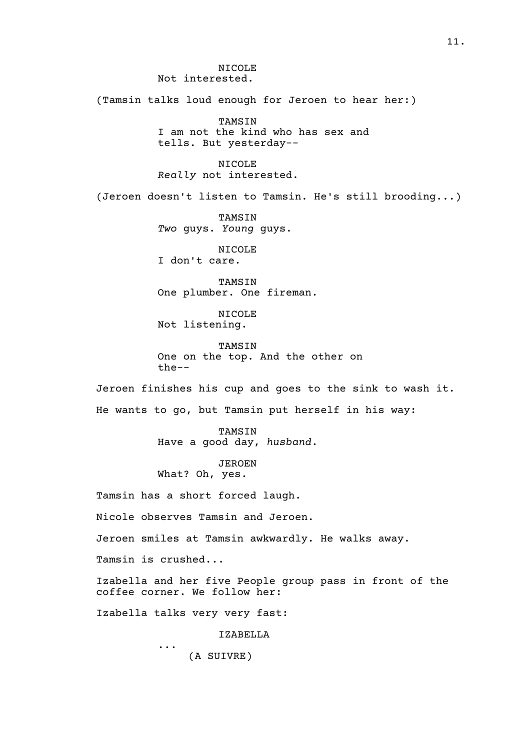NICOLE Not interested. (Tamsin talks loud enough for Jeroen to hear her:) TAMSIN I am not the kind who has sex and tells. But yesterday-- NICOLE *Really* not interested. (Jeroen doesn't listen to Tamsin. He's still brooding...) TAMSIN *Two* guys. *Young* guys. NICOLE I don't care. TAMSIN One plumber. One fireman. NICOLE Not listening. TAMSIN One on the top. And the other on the-- Jeroen finishes his cup and goes to the sink to wash it. He wants to go, but Tamsin put herself in his way: TAMSIN Have a good day, *husband*. JEROEN What? Oh, yes. Tamsin has a short forced laugh. Nicole observes Tamsin and Jeroen. Jeroen smiles at Tamsin awkwardly. He walks away. Tamsin is crushed... Izabella and her five People group pass in front of the coffee corner. We follow her: Izabella talks very very fast: IZABELLA ... (A SUIVRE)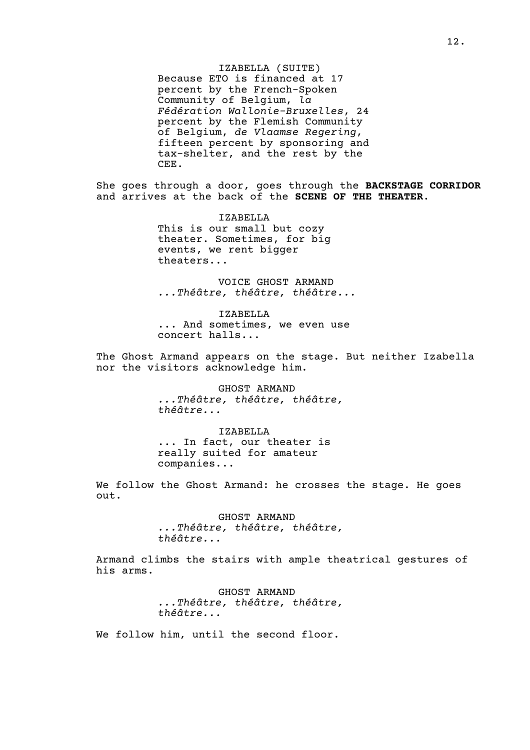IZABELLA (SUITE) Because ETO is financed at 17 percent by the French-Spoken Community of Belgium, *la Fédération Wallonie-Bruxelles*, 24 percent by the Flemish Community of Belgium, *de Vlaamse Regering*, fifteen percent by sponsoring and tax-shelter, and the rest by the CEE.

She goes through a door, goes through the **BACKSTAGE CORRIDOR** and arrives at the back of the **SCENE OF THE THEATER**.

> IZABELLA This is our small but cozy theater. Sometimes, for big events, we rent bigger theaters...

VOICE GHOST ARMAND *...Théâtre, théâtre, théâtre...*

IZABELLA ... And sometimes, we even use concert halls...

The Ghost Armand appears on the stage. But neither Izabella nor the visitors acknowledge him.

> GHOST ARMAND *...Théâtre, théâtre, théâtre, théâtre...*

IZABELLA ... In fact, our theater is really suited for amateur companies...

We follow the Ghost Armand: he crosses the stage. He goes out.

> GHOST ARMAND *...Théâtre, théâtre, théâtre, théâtre...*

Armand climbs the stairs with ample theatrical gestures of his arms.

> GHOST ARMAND *...Théâtre, théâtre, théâtre, théâtre...*

We follow him, until the second floor.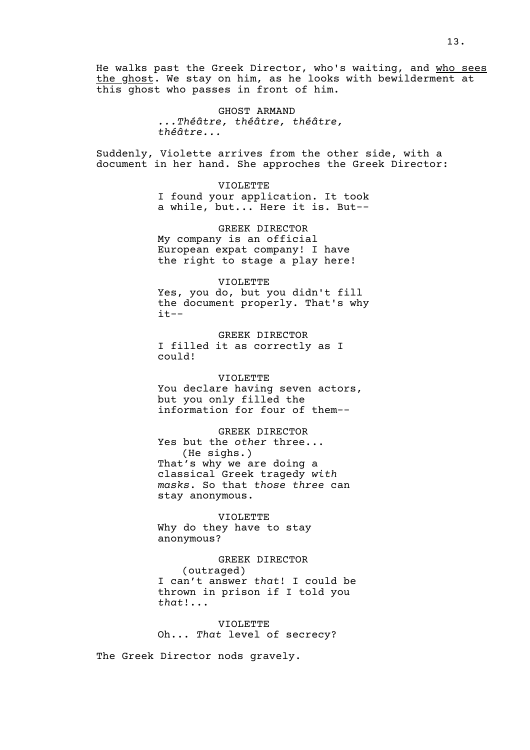He walks past the Greek Director, who's waiting, and who sees the ghost. We stay on him, as he looks with bewilderment at this ghost who passes in front of him.

> GHOST ARMAND *...Théâtre, théâtre, théâtre, théâtre...*

Suddenly, Violette arrives from the other side, with a document in her hand. She approches the Greek Director:

> VIOLETTE I found your application. It took a while, but... Here it is. But--

GREEK DIRECTOR My company is an official European expat company! I have the right to stage a play here!

VIOLETTE Yes, you do, but you didn't fill the document properly. That's why it--

GREEK DIRECTOR I filled it as correctly as I could!

VIOLETTE You declare having seven actors, but you only filled the information for four of them--

GREEK DIRECTOR Yes but the *other* three... (He sighs.) That's why we are doing a classical Greek tragedy *with masks*. So that *those three* can stay anonymous.

VIOLETTE Why do they have to stay anonymous?

# GREEK DIRECTOR (outraged) I can't answer *that*! I could be thrown in prison if I told you *that*!...

VIOLETTE Oh... *That* level of secrecy?

The Greek Director nods gravely.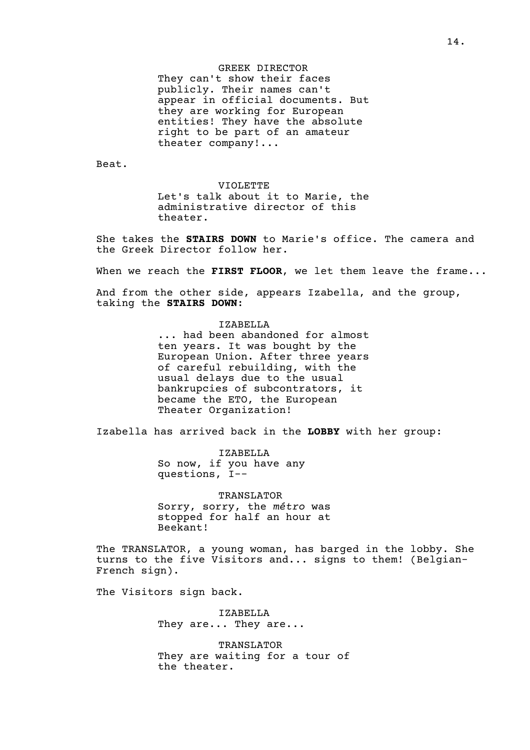#### GREEK DIRECTOR

They can't show their faces publicly. Their names can't appear in official documents. But they are working for European entities! They have the absolute right to be part of an amateur theater company!...

Beat.

VIOLETTE

Let's talk about it to Marie, the administrative director of this theater.

She takes the **STAIRS DOWN** to Marie's office. The camera and the Greek Director follow her.

When we reach the **FIRST FLOOR**, we let them leave the frame...

And from the other side, appears Izabella, and the group, taking the **STAIRS DOWN**:

#### IZABELLA

... had been abandoned for almost ten years. It was bought by the European Union. After three years of careful rebuilding, with the usual delays due to the usual bankrupcies of subcontrators, it became the ETO, the European Theater Organization!

Izabella has arrived back in the **LOBBY** with her group:

IZABELLA So now, if you have any questions, I--

TRANSLATOR Sorry, sorry, the *métro* was stopped for half an hour at Beekant!

The TRANSLATOR, a young woman, has barged in the lobby. She turns to the five Visitors and... signs to them! (Belgian-French sign).

The Visitors sign back.

IZABELLA They are... They are...

TRANSLATOR They are waiting for a tour of the theater.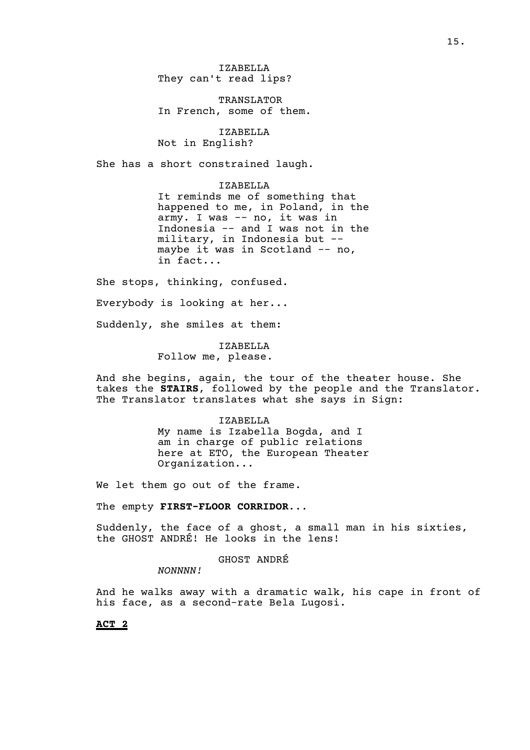IZABELLA They can't read lips?

TRANSLATOR In French, some of them.

IZABELLA Not in English?

She has a short constrained laugh.

IZABELLA

It reminds me of something that happened to me, in Poland, in the army. I was -- no, it was in Indonesia -- and I was not in the military, in Indonesia but - maybe it was in Scotland -- no, in fact...

She stops, thinking, confused.

Everybody is looking at her...

Suddenly, she smiles at them:

IZABELLA Follow me, please.

And she begins, again, the tour of the theater house. She takes the **STAIRS**, followed by the people and the Translator. The Translator translates what she says in Sign:

> IZABELLA My name is Izabella Bogda, and I am in charge of public relations here at ETO, the European Theater Organization...

We let them go out of the frame.

The empty **FIRST-FLOOR CORRIDOR**...

Suddenly, the face of a ghost, a small man in his sixties, the GHOST ANDRÉ! He looks in the lens!

GHOST ANDRÉ

*NONNNN!*

And he walks away with a dramatic walk, his cape in front of his face, as a second-rate Bela Lugosi.

**ACT 2**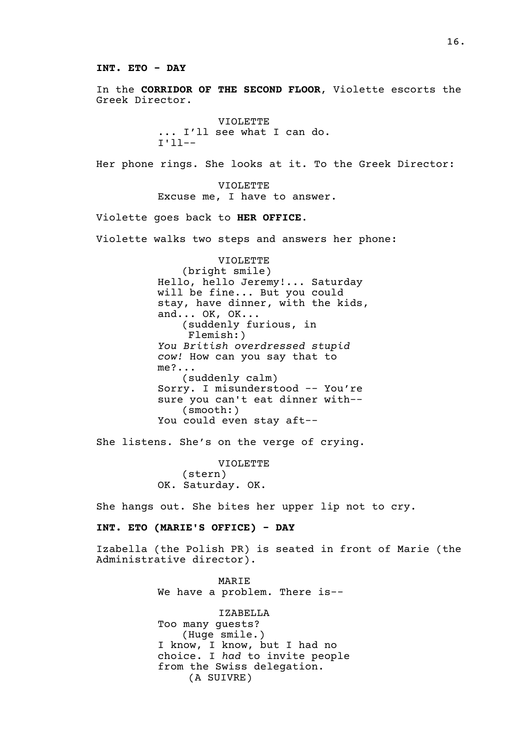**INT. ETO - DAY**

In the **CORRIDOR OF THE SECOND FLOOR**, Violette escorts the Greek Director.

> VIOLETTE ... I'll see what I can do. I'll--

Her phone rings. She looks at it. To the Greek Director:

VIOLETTE Excuse me, I have to answer.

Violette goes back to **HER OFFICE**.

Violette walks two steps and answers her phone:

VIOLETTE (bright smile) Hello, hello Jeremy!... Saturday will be fine... But you could stay, have dinner, with the kids, and... OK, OK... (suddenly furious, in Flemish:) *You British overdressed stupid cow!* How can you say that to me?... (suddenly calm) Sorry. I misunderstood -- You're sure you can't eat dinner with-- (smooth:) You could even stay aft--

She listens. She's on the verge of crying.

VIOLETTE (stern) OK. Saturday. OK.

She hangs out. She bites her upper lip not to cry.

**INT. ETO (MARIE'S OFFICE) - DAY**

Izabella (the Polish PR) is seated in front of Marie (the Administrative director).

> MARIE We have a problem. There is--

IZABELLA Too many guests? (Huge smile.) I know, I know, but I had no choice. I *had* to invite people from the Swiss delegation. (A SUIVRE)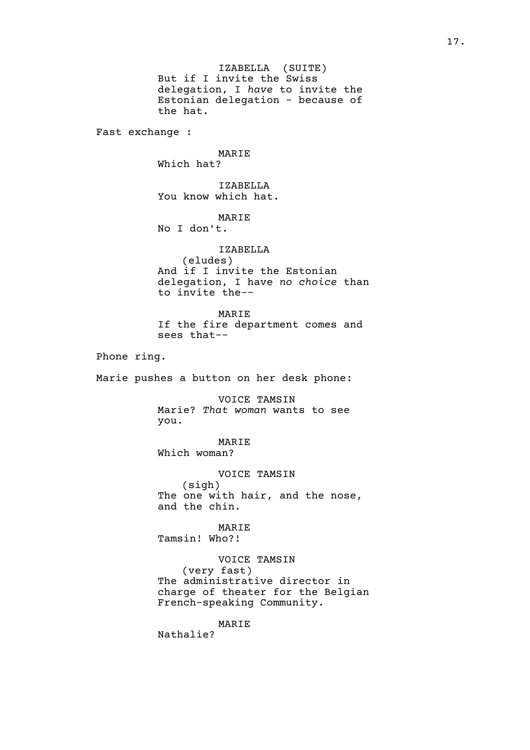IZABELLA (SUITE) But if I invite the Swiss delegation, I *have* to invite the Estonian delegation - because of the hat. Fast exchange : MARIE Which hat? IZABELLA You know which hat. MARIE No I don't. IZABELLA (eludes) And if I invite the Estonian delegation, I have *no choice* than to invite the-- MARIE If the fire department comes and sees that-- Phone ring. Marie pushes a button on her desk phone: VOICE TAMSIN Marie? *That woman* wants to see you. MARIE Which woman? VOICE TAMSIN (sigh) The one with hair, and the nose, and the chin. MARIE Tamsin! Who?! VOICE TAMSIN (very fast) The administrative director in charge of theater for the Belgian French-speaking Community. MARIE Nathalie?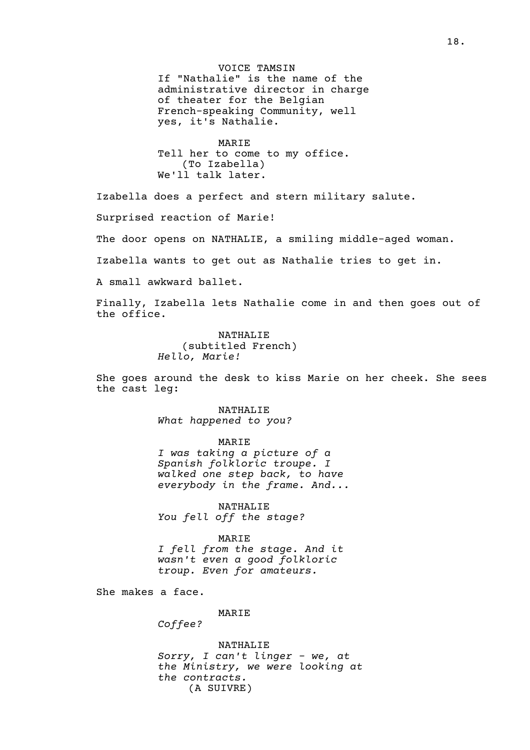VOICE TAMSIN If "Nathalie" is the name of the administrative director in charge of theater for the Belgian French-speaking Community, well yes, it's Nathalie.

MARIE Tell her to come to my office. (To Izabella) We'll talk later.

Izabella does a perfect and stern military salute.

Surprised reaction of Marie!

The door opens on NATHALIE, a smiling middle-aged woman.

Izabella wants to get out as Nathalie tries to get in.

A small awkward ballet.

Finally, Izabella lets Nathalie come in and then goes out of the office.

> NATHALIE (subtitled French) *Hello, Marie!*

She goes around the desk to kiss Marie on her cheek. She sees the cast leg:

> NATHALIE *What happened to you?*

MARIE *I was taking a picture of a Spanish folkloric troupe. I walked one step back, to have everybody in the frame. And...*

NATHALIE *You fell off the stage?*

MARIE *I fell from the stage. And it* 

*wasn't even a good folkloric troup. Even for amateurs.*

She makes a face.

MARIE

*Coffee?*

NATHALIE *Sorry, I can't linger - we, at the Ministry, we were looking at the contracts.*  (A SUIVRE)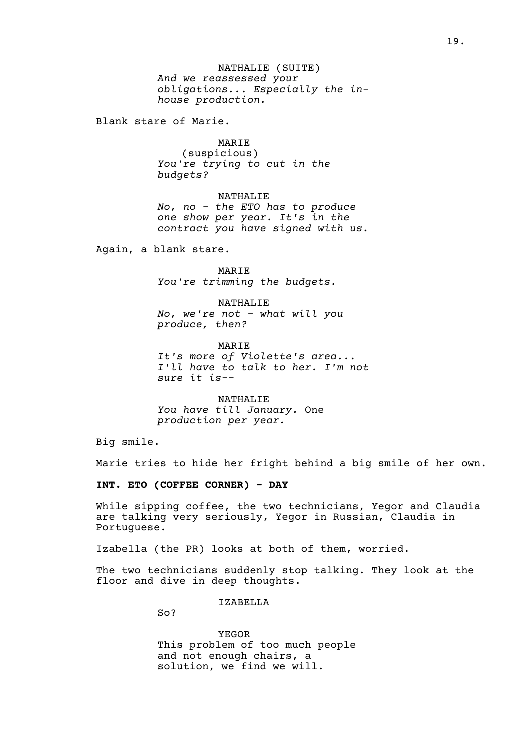NATHALIE (SUITE) *And we reassessed your obligations... Especially the inhouse production.*

Blank stare of Marie.

### MARIE

(suspicious) *You're trying to cut in the budgets?*

NATHALIE *No, no - the ETO has to produce one show per year. It's in the contract you have signed with us.*

Again, a blank stare.

MARIE *You're trimming the budgets.*

NATHALIE *No, we're not - what will you produce, then?*

MARIE *It's more of Violette's area... I'll have to talk to her. I'm not sure it is--*

NATHALIE *You have till January.* One *production per year.*

Big smile.

Marie tries to hide her fright behind a big smile of her own.

**INT. ETO (COFFEE CORNER) - DAY**

While sipping coffee, the two technicians, Yegor and Claudia are talking very seriously, Yegor in Russian, Claudia in Portuguese.

Izabella (the PR) looks at both of them, worried.

The two technicians suddenly stop talking. They look at the floor and dive in deep thoughts.

IZABELLA

So?

YEGOR This problem of too much people and not enough chairs, a solution, we find we will.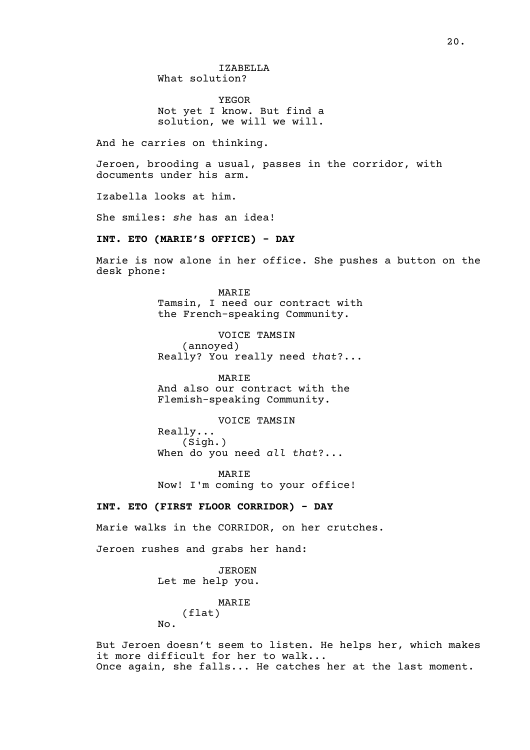YEGOR Not yet I know. But find a solution, we will we will.

And he carries on thinking.

Jeroen, brooding a usual, passes in the corridor, with documents under his arm.

Izabella looks at him.

She smiles: *she* has an idea!

# **INT. ETO (MARIE'S OFFICE) - DAY**

Marie is now alone in her office. She pushes a button on the desk phone:

> MARIE Tamsin, I need our contract with the French-speaking Community.

VOICE TAMSIN (annoyed) Really? You really need *that*?...

MARIE And also our contract with the Flemish-speaking Community.

VOICE TAMSIN Really... (Sigh.) When do you need *all that*?...

MARIE Now! I'm coming to your office!

# **INT. ETO (FIRST FLOOR CORRIDOR) - DAY**

Marie walks in the CORRIDOR, on her crutches.

Jeroen rushes and grabs her hand:

JEROEN Let me help you.

#### MARIE

(flat)

No.

But Jeroen doesn't seem to listen. He helps her, which makes it more difficult for her to walk... Once again, she falls... He catches her at the last moment.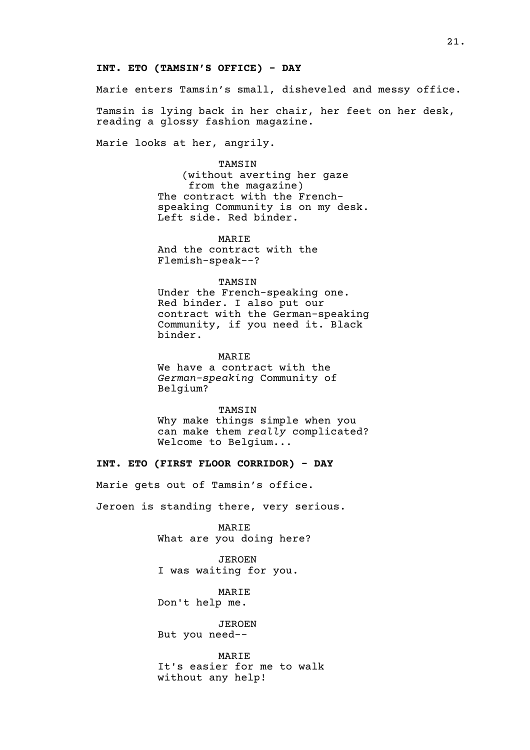#### **INT. ETO (TAMSIN'S OFFICE) - DAY**

Marie enters Tamsin's small, disheveled and messy office.

Tamsin is lying back in her chair, her feet on her desk, reading a glossy fashion magazine.

Marie looks at her, angrily.

### TAMSIN

(without averting her gaze from the magazine) The contract with the Frenchspeaking Community is on my desk. Left side. Red binder.

MARIE And the contract with the Flemish-speak--?

#### TAMSIN

Under the French-speaking one. Red binder. I also put our contract with the German-speaking Community, if you need it. Black binder.

#### MARIE

We have a contract with the *German-speaking* Community of Belgium?

#### TAMSIN

Why make things simple when you can make them *really* complicated? Welcome to Belgium...

# **INT. ETO (FIRST FLOOR CORRIDOR) - DAY**

Marie gets out of Tamsin's office.

Jeroen is standing there, very serious.

MARIE What are you doing here?

JEROEN I was waiting for you.

MARIE Don't help me.

JEROEN But you need--

MARIE It's easier for me to walk without any help!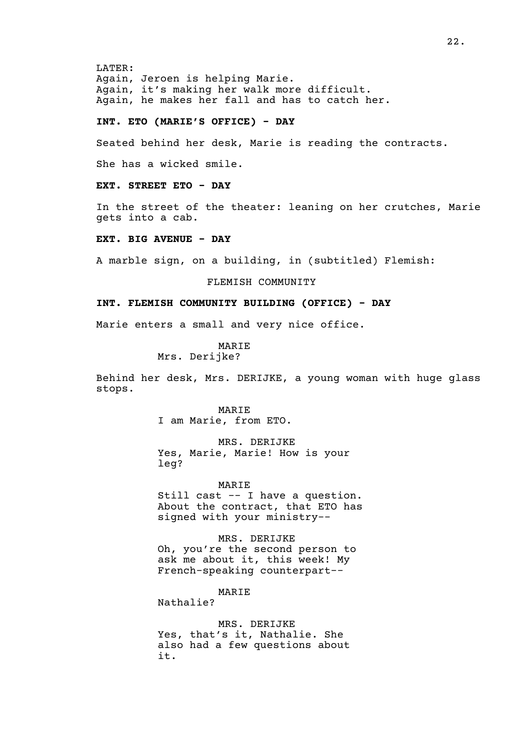LATER: Again, Jeroen is helping Marie. Again, it's making her walk more difficult. Again, he makes her fall and has to catch her.

### **INT. ETO (MARIE'S OFFICE) - DAY**

Seated behind her desk, Marie is reading the contracts.

She has a wicked smile.

**EXT. STREET ETO - DAY**

In the street of the theater: leaning on her crutches, Marie gets into a cab.

**EXT. BIG AVENUE - DAY**

A marble sign, on a building, in (subtitled) Flemish:

FLEMISH COMMUNITY

### **INT. FLEMISH COMMUNITY BUILDING (OFFICE) - DAY**

Marie enters a small and very nice office.

MARIE Mrs. Derijke?

Behind her desk, Mrs. DERIJKE, a young woman with huge glass stops.

> MARIE I am Marie, from ETO.

MRS. DERIJKE Yes, Marie, Marie! How is your leg?

MARIE Still cast -- I have a question. About the contract, that ETO has signed with your ministry--

MRS. DERIJKE Oh, you're the second person to ask me about it, this week! My French-speaking counterpart--

MARIE

Nathalie?

MRS. DERIJKE Yes, that's it, Nathalie. She also had a few questions about it.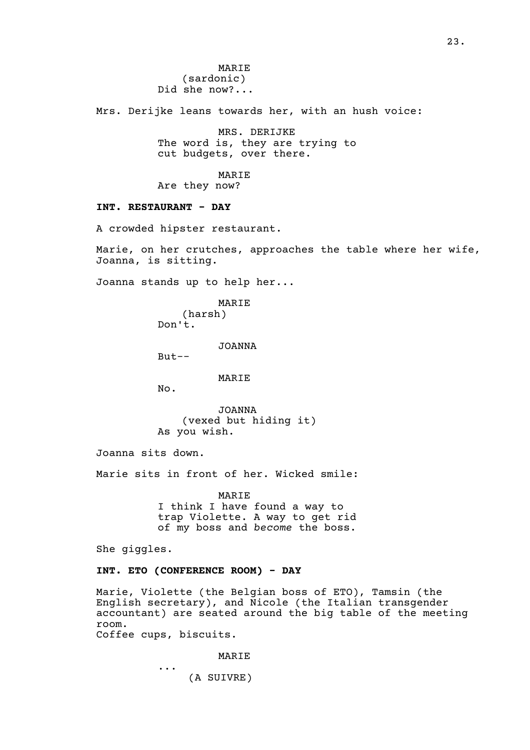MARIE (sardonic) Did she now?...

Mrs. Derijke leans towards her, with an hush voice:

MRS. DERIJKE The word is, they are trying to cut budgets, over there.

### MARIE

Are they now?

### **INT. RESTAURANT - DAY**

A crowded hipster restaurant.

Marie, on her crutches, approaches the table where her wife, Joanna, is sitting.

Joanna stands up to help her...

MARIE (harsh) Don't.

JOANNA

 $But--$ 

### MARIE

No.

JOANNA (vexed but hiding it) As you wish.

Joanna sits down.

Marie sits in front of her. Wicked smile:

**MARTE** I think I have found a way to trap Violette. A way to get rid of my boss and *become* the boss.

She giggles.

## **INT. ETO (CONFERENCE ROOM) - DAY**

Marie, Violette (the Belgian boss of ETO), Tamsin (the English secretary), and Nicole (the Italian transgender accountant) are seated around the big table of the meeting room. Coffee cups, biscuits.

MARIE

... (A SUIVRE)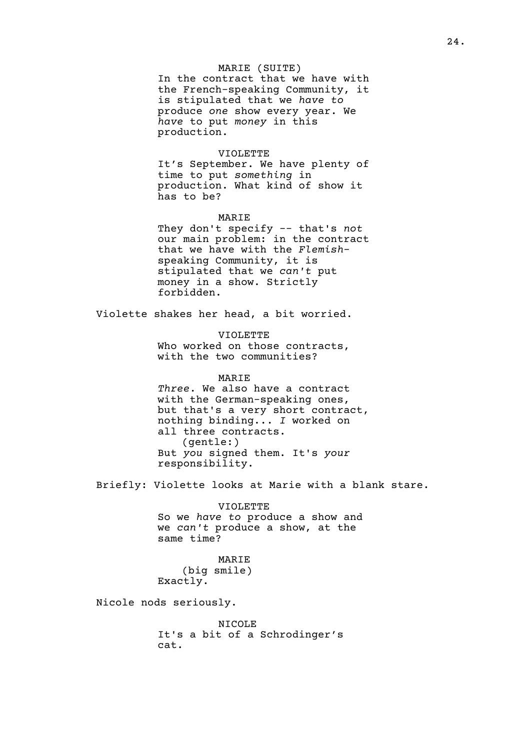### MARIE (SUITE)

In the contract that we have with the French-speaking Community, it is stipulated that we *have to* produce *one* show every year. We *have* to put *money* in this production.

#### VIOLETTE

It's September. We have plenty of time to put *something* in production. What kind of show it has to be?

#### MARIE

They don't specify -- that's *not* our main problem: in the contract that we have with the *Flemish*speaking Community, it is stipulated that we *can't* put money in a show. Strictly forbidden.

Violette shakes her head, a bit worried.

VIOLETTE Who worked on those contracts, with the two communities?

MARIE *Three*. We also have a contract with the German-speaking ones, but that's a very short contract, nothing binding... *I* worked on all three contracts. (gentle:) But *you* signed them. It's *your* responsibility.

Briefly: Violette looks at Marie with a blank stare.

VIOLETTE So we *have to* produce a show and we *can't* produce a show, at the same time?

MARIE (big smile) Exactly.

Nicole nods seriously.

NICOLE It's a bit of a Schrodinger's cat.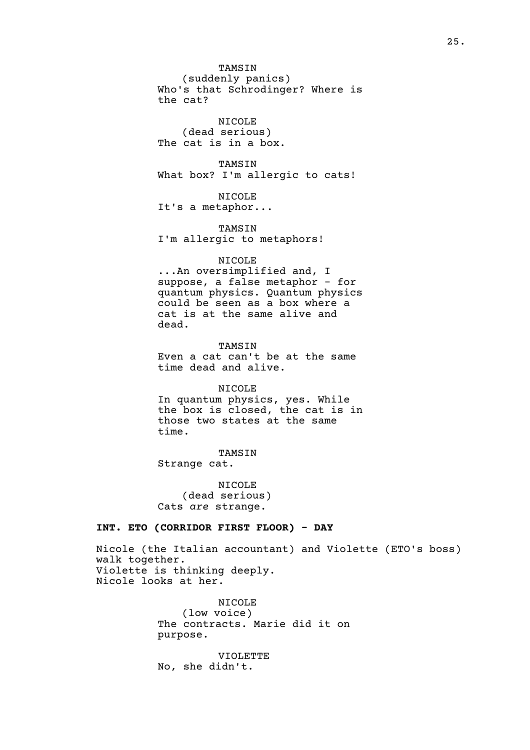TAMSIN (suddenly panics) Who's that Schrodinger? Where is the cat?

NICOLE (dead serious) The cat is in a box.

TAMSIN What box? I'm allergic to cats!

NICOLE It's a metaphor...

TAMSIN I'm allergic to metaphors!

NICOLE

...An oversimplified and, I suppose, a false metaphor - for quantum physics. Quantum physics could be seen as a box where a cat is at the same alive and dead.

TAMSIN Even a cat can't be at the same time dead and alive.

NICOLE In quantum physics, yes. While the box is closed, the cat is in those two states at the same time.

TAMSIN Strange cat.

NICOLE (dead serious) Cats *are* strange.

## **INT. ETO (CORRIDOR FIRST FLOOR) - DAY**

Nicole (the Italian accountant) and Violette (ETO's boss) walk together. Violette is thinking deeply. Nicole looks at her.

> NICOLE (low voice) The contracts. Marie did it on purpose.

VIOLETTE No, she didn't.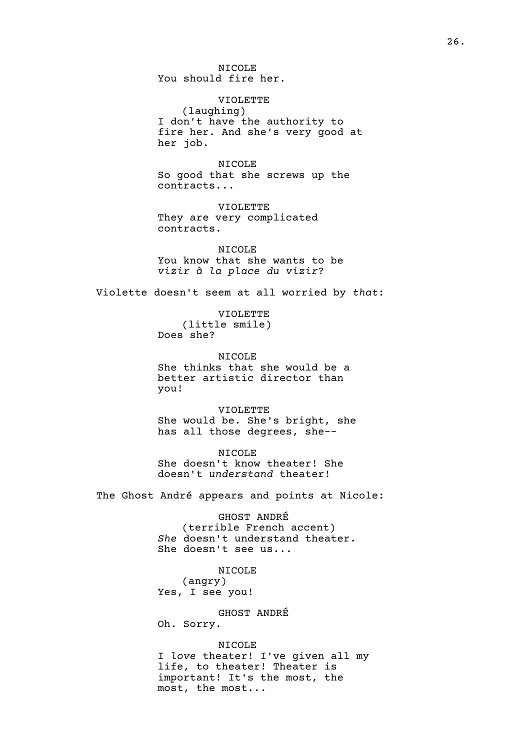NICOLE You should fire her.

VIOLETTE (laughing) I don't have the authority to fire her. And she's very good at her job.

NICOLE So good that she screws up the contracts...

VIOLETTE They are very complicated contracts.

NICOLE You know that she wants to be *vizir à la place du vizir*?

Violette doesn't seem at all worried by *that*:

VIOLETTE (little smile) Does she?

NICOLE She thinks that she would be a better artistic director than you!

VIOLETTE She would be. She's bright, she has all those degrees, she--

NICOLE She doesn't know theater! She doesn't *understand* theater!

The Ghost André appears and points at Nicole:

GHOST ANDRÉ (terrible French accent) *She* doesn't understand theater. She doesn't see us...

NICOLE (angry) Yes, I see you!

GHOST ANDRÉ Oh. Sorry.

NICOLE I *love* theater! I've given all my life, to theater! Theater is important! It's the most, the most, the most...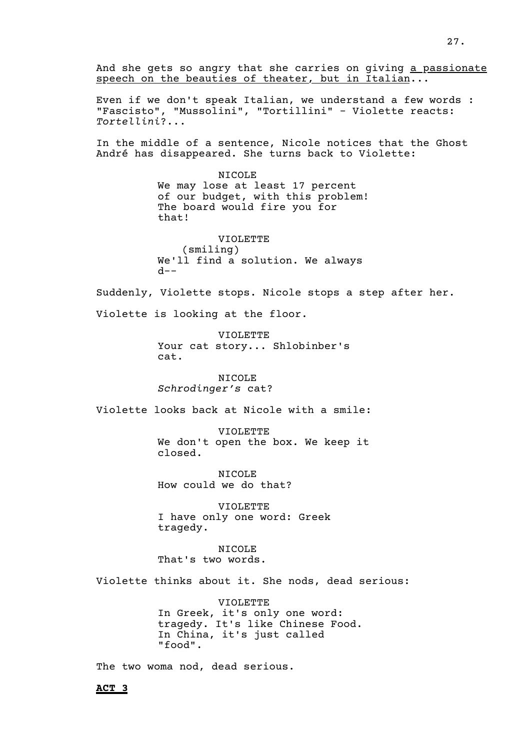And she gets so angry that she carries on giving a passionate speech on the beauties of theater, but in Italian...

Even if we don't speak Italian, we understand a few words : "Fascisto", "Mussolini", "Tortillini" - Violette reacts: *Tortellini*?...

In the middle of a sentence, Nicole notices that the Ghost André has disappeared. She turns back to Violette:

> NICOLE We may lose at least 17 percent of our budget, with this problem! The board would fire you for that!

VIOLETTE (smiling) We'll find a solution. We always  $d--$ 

Suddenly, Violette stops. Nicole stops a step after her.

Violette is looking at the floor.

VIOLETTE Your cat story... Shlobinber's cat.

NICOLE *Schrodinger's* cat?

Violette looks back at Nicole with a smile:

VIOLETTE We don't open the box. We keep it closed.

NICOLE How could we do that?

VIOLETTE I have only one word: Greek tragedy.

NICOLE That's two words.

Violette thinks about it. She nods, dead serious:

VIOLETTE In Greek, it's only one word: tragedy. It's like Chinese Food. In China, it's just called "food".

The two woma nod, dead serious.

**ACT 3**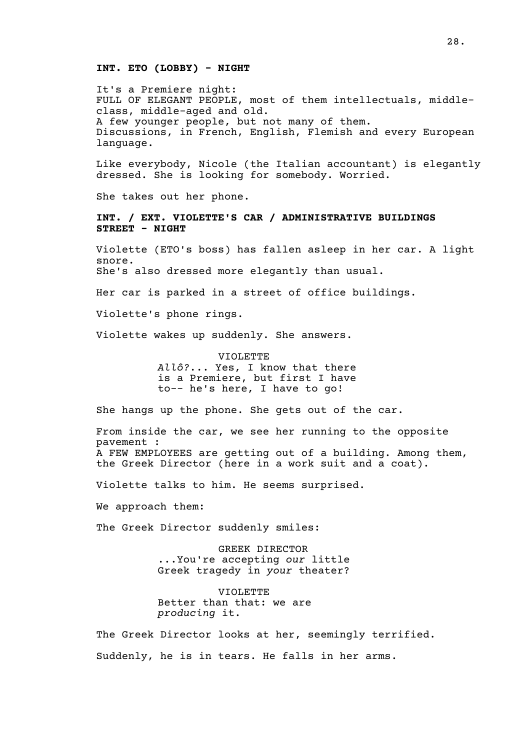#### **INT. ETO (LOBBY) - NIGHT**

It's a Premiere night: FULL OF ELEGANT PEOPLE, most of them intellectuals, middleclass, middle-aged and old. A few younger people, but not many of them. Discussions, in French, English, Flemish and every European language.

Like everybody, Nicole (the Italian accountant) is elegantly dressed. She is looking for somebody. Worried.

She takes out her phone.

**INT. / EXT. VIOLETTE'S CAR / ADMINISTRATIVE BUILDINGS STREET - NIGHT**

Violette (ETO's boss) has fallen asleep in her car. A light snore. She's also dressed more elegantly than usual.

Her car is parked in a street of office buildings.

Violette's phone rings.

Violette wakes up suddenly. She answers.

VIOLETTE *Allô?*... Yes, I know that there is a Premiere, but first I have to-- he's here, I have to go!

She hangs up the phone. She gets out of the car.

From inside the car, we see her running to the opposite pavement : A FEW EMPLOYEES are getting out of a building. Among them, the Greek Director (here in a work suit and a coat).

Violette talks to him. He seems surprised.

We approach them:

The Greek Director suddenly smiles:

GREEK DIRECTOR ...You're accepting *our* little Greek tragedy in *your* theater?

VIOLETTE Better than that: we are *producing* it.

The Greek Director looks at her, seemingly terrified. Suddenly, he is in tears. He falls in her arms.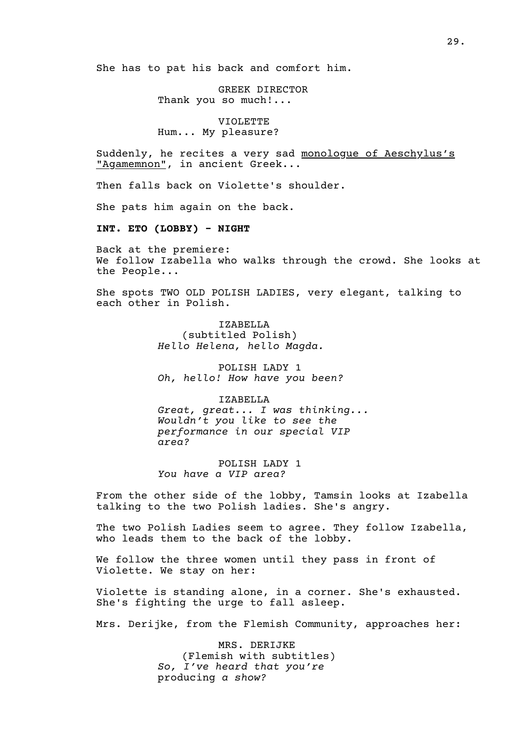She has to pat his back and comfort him.

GREEK DIRECTOR Thank you so much!...

VIOLETTE Hum... My pleasure?

Suddenly, he recites a very sad monologue of Aeschylus's "Agamemnon", in ancient Greek...

Then falls back on Violette's shoulder.

She pats him again on the back.

**INT. ETO (LOBBY) - NIGHT**

Back at the premiere: We follow Izabella who walks through the crowd. She looks at the People...

She spots TWO OLD POLISH LADIES, very elegant, talking to each other in Polish.

> IZABELLA (subtitled Polish) *Hello Helena, hello Magda.*

POLISH LADY 1 *Oh, hello! How have you been?*

IZABELLA *Great, great... I was thinking... Wouldn't you like to see the performance in our special VIP area?*

POLISH LADY 1 *You have a VIP area?*

From the other side of the lobby, Tamsin looks at Izabella talking to the two Polish ladies. She's angry.

The two Polish Ladies seem to agree. They follow Izabella, who leads them to the back of the lobby.

We follow the three women until they pass in front of Violette. We stay on her:

Violette is standing alone, in a corner. She's exhausted. She's fighting the urge to fall asleep.

Mrs. Derijke, from the Flemish Community, approaches her:

MRS. DERIJKE (Flemish with subtitles) *So, I've heard that you're* producing *a show?*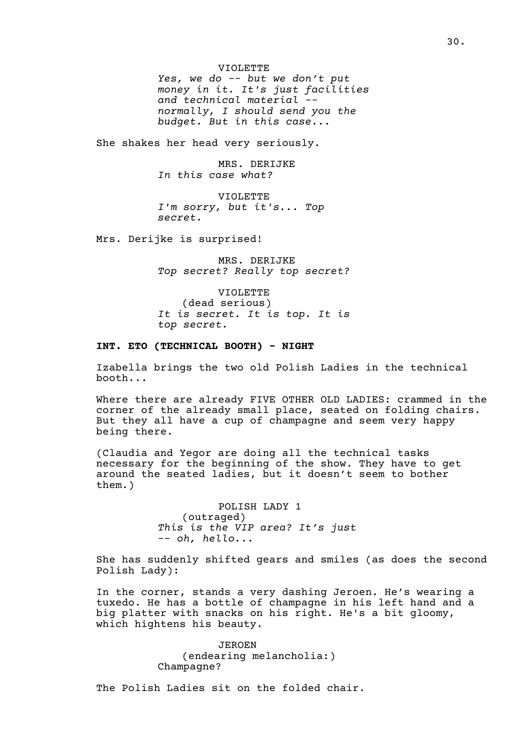VIOLETTE *Yes, we do -- but we don't put money in it. It's just facilities and technical material - normally, I should send you the budget. But in this case...*

She shakes her head very seriously.

MRS. DERIJKE *In this case what?*

VIOLETTE *I'm sorry, but it's... Top secret.*

Mrs. Derijke is surprised!

MRS. DERIJKE *Top secret? Really top secret?*

VIOLETTE (dead serious) *It is secret. It is top. It is top secret.*

# **INT. ETO (TECHNICAL BOOTH) - NIGHT**

Izabella brings the two old Polish Ladies in the technical booth...

Where there are already FIVE OTHER OLD LADIES: crammed in the corner of the already small place, seated on folding chairs. But they all have a cup of champagne and seem very happy being there.

(Claudia and Yegor are doing all the technical tasks necessary for the beginning of the show. They have to get around the seated ladies, but it doesn't seem to bother them.)

> POLISH LADY 1 (outraged) *This is the VIP area? It's just -- oh, hello...*

She has suddenly shifted gears and smiles (as does the second Polish Lady):

In the corner, stands a very dashing Jeroen. He's wearing a tuxedo. He has a bottle of champagne in his left hand and a big platter with snacks on his right. He's a bit gloomy, which hightens his beauty.

> JEROEN (endearing melancholia:) Champagne?

The Polish Ladies sit on the folded chair.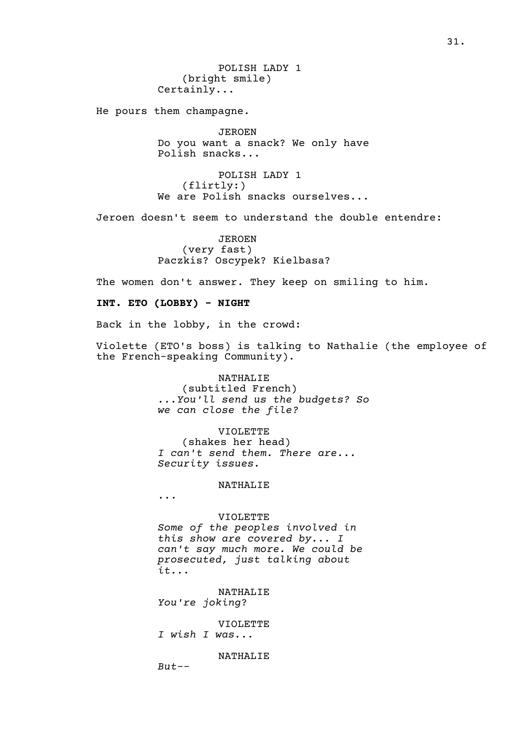He pours them champagne.

JEROEN Do you want a snack? We only have Polish snacks...

POLISH LADY 1 (flirtly:) We are Polish snacks ourselves...

Jeroen doesn't seem to understand the double entendre:

JEROEN (very fast) Paczkis? Oscypek? Kielbasa?

The women don't answer. They keep on smiling to him.

## **INT. ETO (LOBBY) - NIGHT**

Back in the lobby, in the crowd:

Violette (ETO's boss) is talking to Nathalie (the employee of the French-speaking Community).

#### NATHALIE

(subtitled French) *...You'll send us the budgets? So we can close the file?*

#### VIOLETTE

(shakes her head) *I can't send them. There are... Security issues.*

#### NATHALIE

...

# VIOLETTE *Some of the peoples involved in this show are covered by... I can't say much more. We could be prosecuted, just talking about it...*

NATHALIE *You're joking*?

# VIOLETTE

*I wish I was...*

NATHALIE

*But--*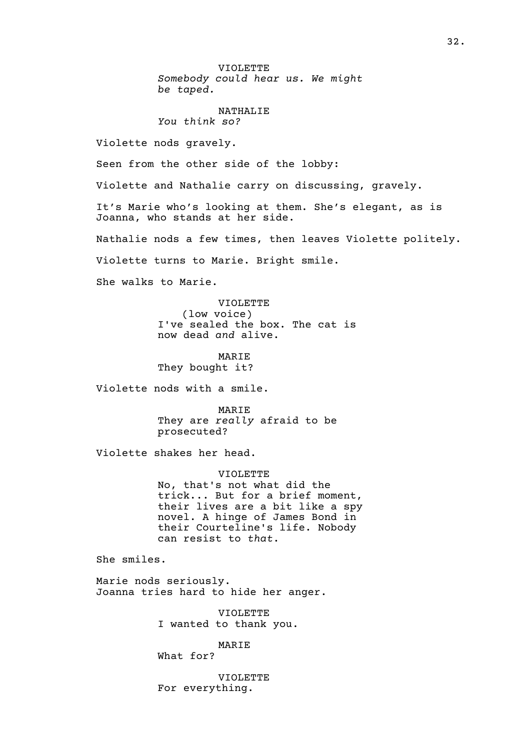VIOLETTE *Somebody could hear us. We might be taped.*

#### NATHALIE *You think so?*

Violette nods gravely.

Seen from the other side of the lobby:

Violette and Nathalie carry on discussing, gravely.

It's Marie who's looking at them. She's elegant, as is Joanna, who stands at her side.

Nathalie nods a few times, then leaves Violette politely.

Violette turns to Marie. Bright smile.

She walks to Marie.

VIOLETTE (low voice) I've sealed the box. The cat is now dead *and* alive.

MARIE They bought it?

Violette nods with a smile.

MARIE They are *really* afraid to be prosecuted?

Violette shakes her head.

VIOLETTE No, that's not what did the trick... But for a brief moment, their lives are a bit like a spy novel. A hinge of James Bond in their Courteline's life. Nobody can resist to *that*.

She smiles.

Marie nods seriously. Joanna tries hard to hide her anger.

> VIOLETTE I wanted to thank you.

> > MARIE

What for?

VIOLETTE For everything.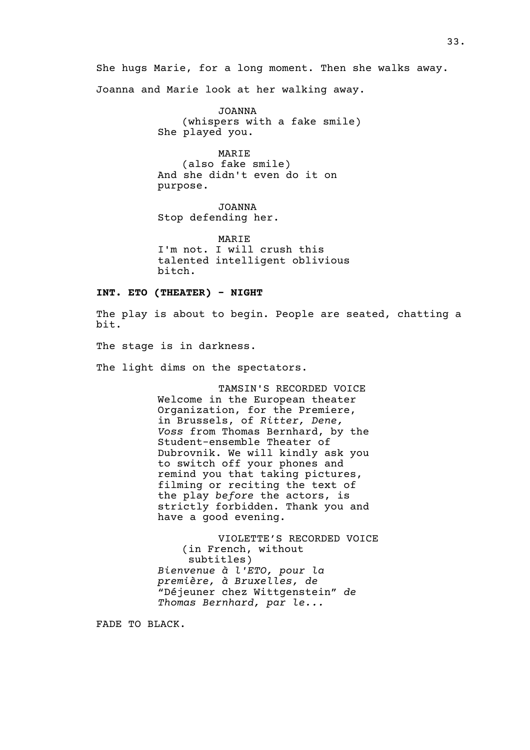She hugs Marie, for a long moment. Then she walks away.

Joanna and Marie look at her walking away.

JOANNA (whispers with a fake smile) She played you.

MARIE (also fake smile) And she didn't even do it on purpose.

JOANNA Stop defending her.

MARIE I'm not. I will crush this talented intelligent oblivious bitch.

### **INT. ETO (THEATER) - NIGHT**

The play is about to begin. People are seated, chatting a bit.

The stage is in darkness.

The light dims on the spectators.

TAMSIN'S RECORDED VOICE Welcome in the European theater Organization, for the Premiere, in Brussels, of *Ritter, Dene, Voss* from Thomas Bernhard, by the Student-ensemble Theater of Dubrovnik. We will kindly ask you to switch off your phones and remind you that taking pictures, filming or reciting the text of the play *before* the actors, is strictly forbidden. Thank you and have a good evening.

VIOLETTE'S RECORDED VOICE (in French, without subtitles) *Bienvenue à l'ETO, pour la première, à Bruxelles, de* "Déjeuner chez Wittgenstein" *de Thomas Bernhard, par le...*

FADE TO BLACK.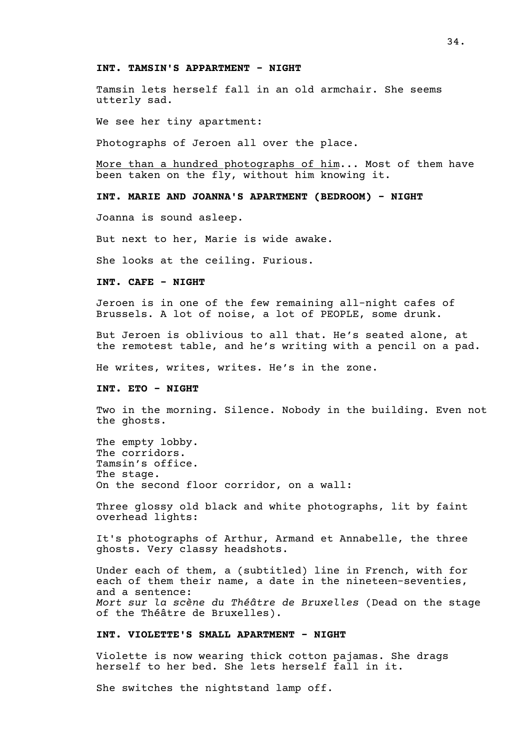#### **INT. TAMSIN'S APPARTMENT - NIGHT**

Tamsin lets herself fall in an old armchair. She seems utterly sad.

We see her tiny apartment:

Photographs of Jeroen all over the place.

More than a hundred photographs of him... Most of them have been taken on the fly, without him knowing it.

**INT. MARIE AND JOANNA'S APARTMENT (BEDROOM) - NIGHT** 

Joanna is sound asleep.

But next to her, Marie is wide awake.

She looks at the ceiling. Furious.

**INT. CAFE - NIGHT**

Jeroen is in one of the few remaining all-night cafes of Brussels. A lot of noise, a lot of PEOPLE, some drunk.

But Jeroen is oblivious to all that. He's seated alone, at the remotest table, and he's writing with a pencil on a pad.

He writes, writes, writes. He's in the zone.

**INT. ETO - NIGHT**

Two in the morning. Silence. Nobody in the building. Even not the ghosts.

The empty lobby. The corridors. Tamsin's office. The stage. On the second floor corridor, on a wall:

Three glossy old black and white photographs, lit by faint overhead lights:

It's photographs of Arthur, Armand et Annabelle, the three ghosts. Very classy headshots.

Under each of them, a (subtitled) line in French, with for each of them their name, a date in the nineteen-seventies, and a sentence: *Mort sur la scène du Théâtre de Bruxelles* (Dead on the stage of the Théâtre de Bruxelles).

#### **INT. VIOLETTE'S SMALL APARTMENT - NIGHT**

Violette is now wearing thick cotton pajamas. She drags herself to her bed. She lets herself fall in it.

She switches the nightstand lamp off.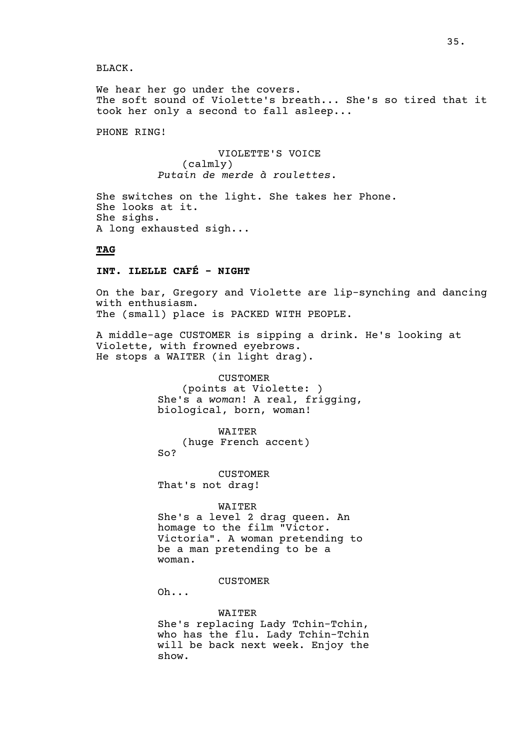BLACK.

We hear her go under the covers. The soft sound of Violette's breath... She's so tired that it took her only a second to fall asleep...

PHONE RING!

VIOLETTE'S VOICE (calmly) *Putain de merde à roulettes*.

She switches on the light. She takes her Phone. She looks at it. She sighs. A long exhausted sigh...

# **TAG**

# **INT. ILELLE CAFÉ - NIGHT**

On the bar, Gregory and Violette are lip-synching and dancing with enthusiasm. The (small) place is PACKED WITH PEOPLE.

A middle-age CUSTOMER is sipping a drink. He's looking at Violette, with frowned eyebrows. He stops a WAITER (in light drag).

> CUSTOMER (points at Violette: ) She's a *woman*! A real, frigging, biological, born, woman!

> > WAITER

(huge French accent) So?

CUSTOMER That's not drag!

WAITER She's a level 2 drag queen. An homage to the film "Victor. Victoria". A woman pretending to be a man pretending to be a woman.

CUSTOMER

Oh...

WAITER She's replacing Lady Tchin-Tchin, who has the flu. Lady Tchin-Tchin will be back next week. Enjoy the show.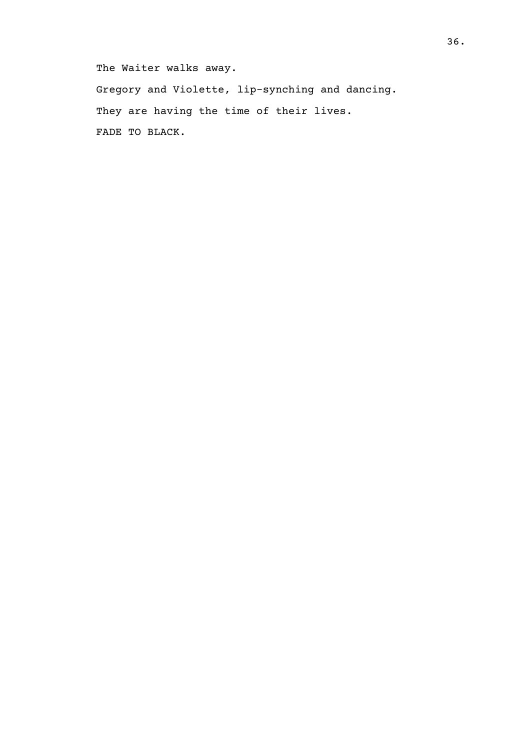The Waiter walks away.

Gregory and Violette, lip-synching and dancing. They are having the time of their lives. FADE TO BLACK.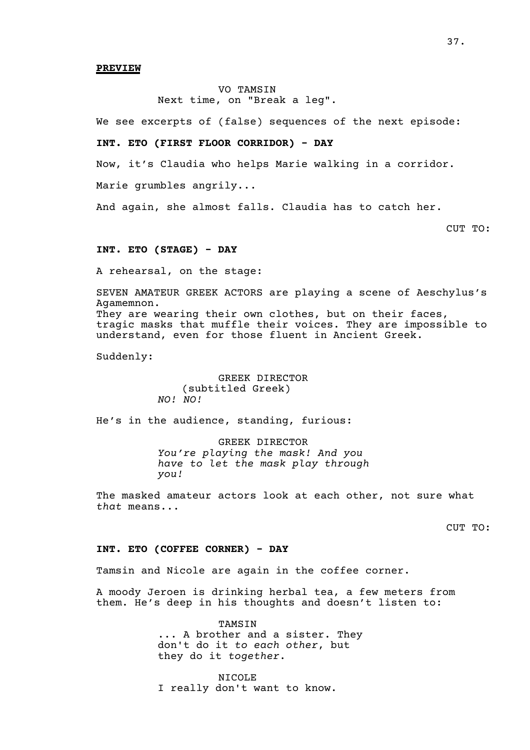#### **PREVIEW**

# VO TAMSIN Next time, on "Break a leg".

We see excerpts of (false) sequences of the next episode:

### **INT. ETO (FIRST FLOOR CORRIDOR) - DAY**

Now, it's Claudia who helps Marie walking in a corridor.

Marie grumbles angrily...

And again, she almost falls. Claudia has to catch her.

CUT TO:

#### **INT. ETO (STAGE) - DAY**

A rehearsal, on the stage:

SEVEN AMATEUR GREEK ACTORS are playing a scene of Aeschylus's Agamemnon. They are wearing their own clothes, but on their faces, tragic masks that muffle their voices. They are impossible to understand, even for those fluent in Ancient Greek.

Suddenly:

GREEK DIRECTOR (subtitled Greek) *NO! NO!*

He's in the audience, standing, furious:

GREEK DIRECTOR *You're playing the mask! And you have to let the mask play through you!*

The masked amateur actors look at each other, not sure what *that* means...

CUT TO:

### **INT. ETO (COFFEE CORNER) - DAY**

Tamsin and Nicole are again in the coffee corner.

A moody Jeroen is drinking herbal tea, a few meters from them. He's deep in his thoughts and doesn't listen to:

> TAMSIN ... A brother and a sister. They don't do it *to each other*, but they do it *together*.

NICOLE I really don't want to know.